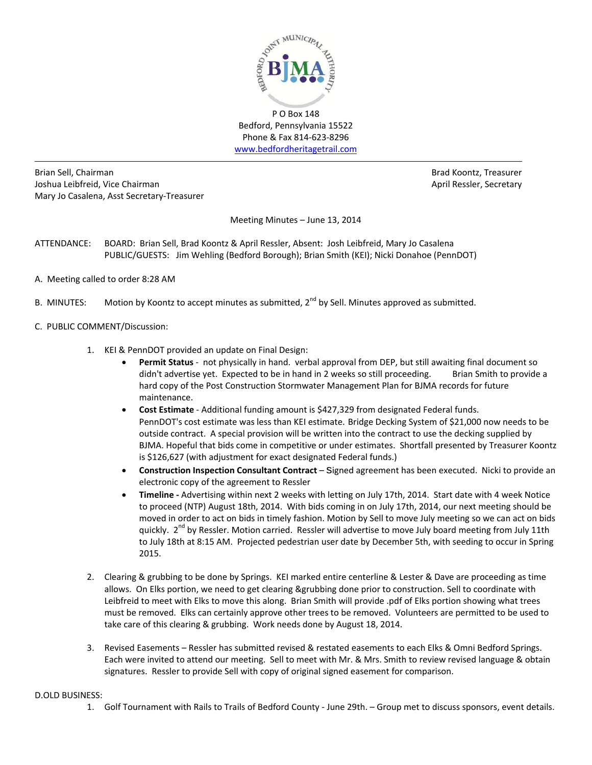

Bedford, Pennsylvania 15522 Phone & Fax 814‐623‐8296 www.bedfordheritagetrail.com

Brian Sell, Chairman Brad Koontz, Treasurer Joshua Leibfreid, Vice Chairman **April Ressler, Secretary** April Ressler, Secretary Mary Jo Casalena, Asst Secretary‐Treasurer

Meeting Minutes – June 13, 2014

- ATTENDANCE: BOARD: Brian Sell, Brad Koontz & April Ressler, Absent: Josh Leibfreid, Mary Jo Casalena PUBLIC/GUESTS: Jim Wehling (Bedford Borough); Brian Smith (KEI); Nicki Donahoe (PennDOT)
- A. Meeting called to order 8:28 AM
- B. MINUTES: Motion by Koontz to accept minutes as submitted,  $2^{nd}$  by Sell. Minutes approved as submitted.
- C. PUBLIC COMMENT/Discussion:
	- 1. KEI & PennDOT provided an update on Final Design:
		- **Permit Status** ‐ not physically in hand. verbal approval from DEP, but still awaiting final document so didn't advertise yet. Expected to be in hand in 2 weeks so still proceeding. Brian Smith to provide a hard copy of the Post Construction Stormwater Management Plan for BJMA records for future maintenance.
		- **Cost Estimate** ‐ Additional funding amount is \$427,329 from designated Federal funds. PennDOT's cost estimate was less than KEI estimate. Bridge Decking System of \$21,000 now needs to be outside contract. A special provision will be written into the contract to use the decking supplied by BJMA. Hopeful that bids come in competitive or under estimates. Shortfall presented by Treasurer Koontz is \$126,627 (with adjustment for exact designated Federal funds.)
		- **Construction Inspection Consultant Contract** signed agreement has been executed. Nicki to provide an electronic copy of the agreement to Ressler
		- **Timeline ‐** Advertising within next 2 weeks with letting on July 17th, 2014. Start date with 4 week Notice to proceed (NTP) August 18th, 2014. With bids coming in on July 17th, 2014, our next meeting should be moved in order to act on bids in timely fashion. Motion by Sell to move July meeting so we can act on bids quickly. 2<sup>nd</sup> by Ressler. Motion carried. Ressler will advertise to move July board meeting from July 11th to July 18th at 8:15 AM. Projected pedestrian user date by December 5th, with seeding to occur in Spring 2015.
	- 2. Clearing & grubbing to be done by Springs. KEI marked entire centerline & Lester & Dave are proceeding as time allows. On Elks portion, we need to get clearing &grubbing done prior to construction. Sell to coordinate with Leibfreid to meet with Elks to move this along. Brian Smith will provide .pdf of Elks portion showing what trees must be removed. Elks can certainly approve other trees to be removed. Volunteers are permitted to be used to take care of this clearing & grubbing. Work needs done by August 18, 2014.
	- 3. Revised Easements Ressler has submitted revised & restated easements to each Elks & Omni Bedford Springs. Each were invited to attend our meeting. Sell to meet with Mr. & Mrs. Smith to review revised language & obtain signatures. Ressler to provide Sell with copy of original signed easement for comparison.

## D.OLD BUSINESS:

1. Golf Tournament with Rails to Trails of Bedford County ‐ June 29th. – Group met to discuss sponsors, event details.